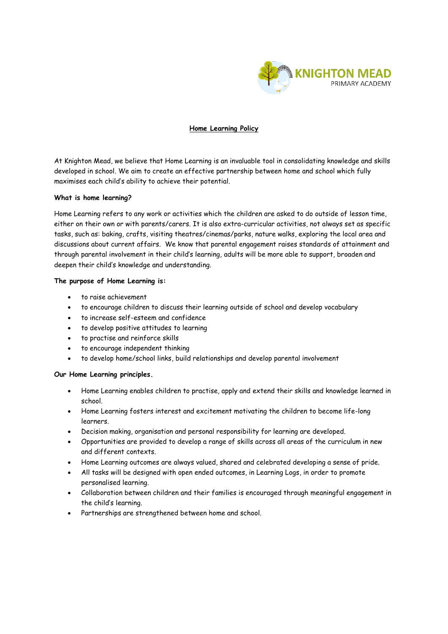

## **Home Learning Policy**

At Knighton Mead, we believe that Home Learning is an invaluable tool in consolidating knowledge and skills developed in school. We aim to create an effective partnership between home and school which fully maximises each child's ability to achieve their potential.

## **What is home learning?**

Home Learning refers to any work or activities which the children are asked to do outside of lesson time, either on their own or with parents/carers. It is also extra-curricular activities, not always set as specific tasks, such as: baking, crafts, visiting theatres/cinemas/parks, nature walks, exploring the local area and discussions about current affairs. We know that parental engagement raises standards of attainment and through parental involvement in their child's learning, adults will be more able to support, broaden and deepen their child's knowledge and understanding.

## **The purpose of Home Learning is:**

- to raise achievement
- to encourage children to discuss their learning outside of school and develop vocabulary
- to increase self-esteem and confidence
- to develop positive attitudes to learning
- to practise and reinforce skills
- to encourage independent thinking
- to develop home/school links, build relationships and develop parental involvement

## **Our Home Learning principles.**

- Home Learning enables children to practise, apply and extend their skills and knowledge learned in school.
- Home Learning fosters interest and excitement motivating the children to become life-long learners.
- Decision making, organisation and personal responsibility for learning are developed.
- Opportunities are provided to develop a range of skills across all areas of the curriculum in new and different contexts.
- Home Learning outcomes are always valued, shared and celebrated developing a sense of pride.
- All tasks will be designed with open ended outcomes, in Learning Logs, in order to promote personalised learning.
- Collaboration between children and their families is encouraged through meaningful engagement in the child's learning.
- Partnerships are strengthened between home and school.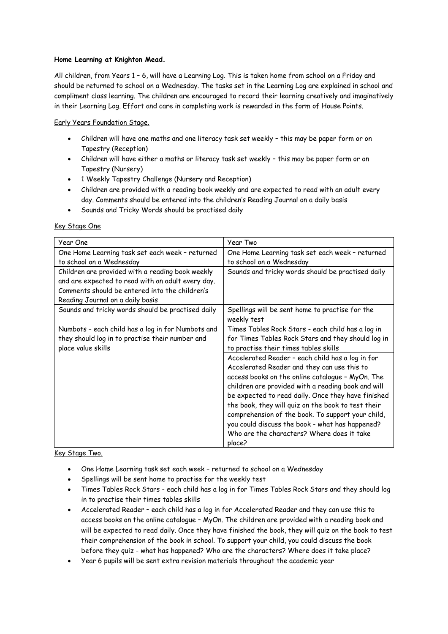# **Home Learning at Knighton Mead.**

All children, from Years 1 – 6, will have a Learning Log. This is taken home from school on a Friday and should be returned to school on a Wednesday. The tasks set in the Learning Log are explained in school and compliment class learning. The children are encouraged to record their learning creatively and imaginatively in their Learning Log. Effort and care in completing work is rewarded in the form of House Points.

Early Years Foundation Stage.

- Children will have one maths and one literacy task set weekly this may be paper form or on Tapestry (Reception)
- Children will have either a maths or literacy task set weekly this may be paper form or on Tapestry (Nursery)
- 1 Weekly Tapestry Challenge (Nursery and Reception)
- Children are provided with a reading book weekly and are expected to read with an adult every day. Comments should be entered into the children's Reading Journal on a daily basis
- Sounds and Tricky Words should be practised daily

| Year One                                          | Year Two                                           |
|---------------------------------------------------|----------------------------------------------------|
| One Home Learning task set each week - returned   | One Home Learning task set each week - returned    |
| to school on a Wednesday                          | to school on a Wednesday                           |
| Children are provided with a reading book weekly  | Sounds and tricky words should be practised daily  |
| and are expected to read with an adult every day. |                                                    |
| Comments should be entered into the children's    |                                                    |
| Reading Journal on a daily basis                  |                                                    |
| Sounds and tricky words should be practised daily | Spellings will be sent home to practise for the    |
|                                                   | weekly test                                        |
| Numbots - each child has a log in for Numbots and | Times Tables Rock Stars - each child has a log in  |
| they should log in to practise their number and   | for Times Tables Rock Stars and they should log in |
| place value skills                                | to practise their times tables skills              |
|                                                   | Accelerated Reader - each child has a log in for   |
|                                                   | Accelerated Reader and they can use this to        |
|                                                   | access books on the online catalogue - MyOn. The   |
|                                                   | children are provided with a reading book and will |
|                                                   | be expected to read daily. Once they have finished |
|                                                   | the book, they will quiz on the book to test their |
|                                                   | comprehension of the book. To support your child,  |
|                                                   | you could discuss the book - what has happened?    |
|                                                   | Who are the characters? Where does it take         |
|                                                   | place?                                             |

## Key Stage One

Key Stage Two.

- One Home Learning task set each week returned to school on a Wednesday
- Spellings will be sent home to practise for the weekly test
- Times Tables Rock Stars each child has a log in for Times Tables Rock Stars and they should log in to practise their times tables skills
- Accelerated Reader each child has a log in for Accelerated Reader and they can use this to access books on the online catalogue – MyOn. The children are provided with a reading book and will be expected to read daily. Once they have finished the book, they will quiz on the book to test their comprehension of the book in school. To support your child, you could discuss the book before they quiz - what has happened? Who are the characters? Where does it take place?
- Year 6 pupils will be sent extra revision materials throughout the academic year